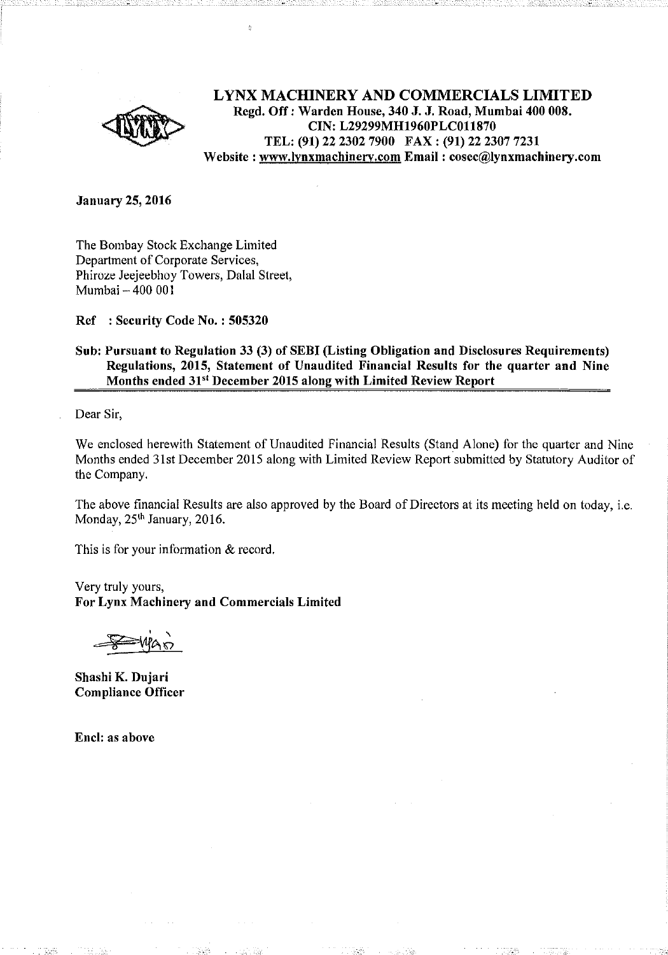

# LYNX MACHINERY AND COMMERCIALS LIMITED Regd. Off: Warden House, 340 J. J. Road, Mumbai 400 008. CIN: L29299MH1960PLC011870 TEL: (91) 22 2302 7900 FAX: (91) 22 2307 7231 Website : www.lynxmachinery.com Email : cosec@lynxmachinery.com

**January 25, 2016** 

The Bombay Stock Exchange Limited Department of Corporate Services, Phiroze Jeejeebhoy Towers, Dalal Street, Mumbai - 400 001

Ref : Security Code No. : 505320

## Sub: Pursuant to Regulation 33 (3) of SEBI (Listing Obligation and Disclosures Requirements) Regulations, 2015, Statement of Unaudited Financial Results for the quarter and Nine Months ended 31<sup>st</sup> December 2015 along with Limited Review Report

Dear Sir,

We enclosed herewith Statement of Unaudited Financial Results (Stand Alone) for the quarter and Nine Months ended 31st December 2015 along with Limited Review Report submitted by Statutory Auditor of the Company.

The above financial Results are also approved by the Board of Directors at its meeting held on today, i.e. Monday, 25<sup>th</sup> January, 2016.

This is for your information & record.

Very truly yours, For Lynx Machinery and Commercials Limited

Shashi K. Dujari Compliance Officer

Encl: as above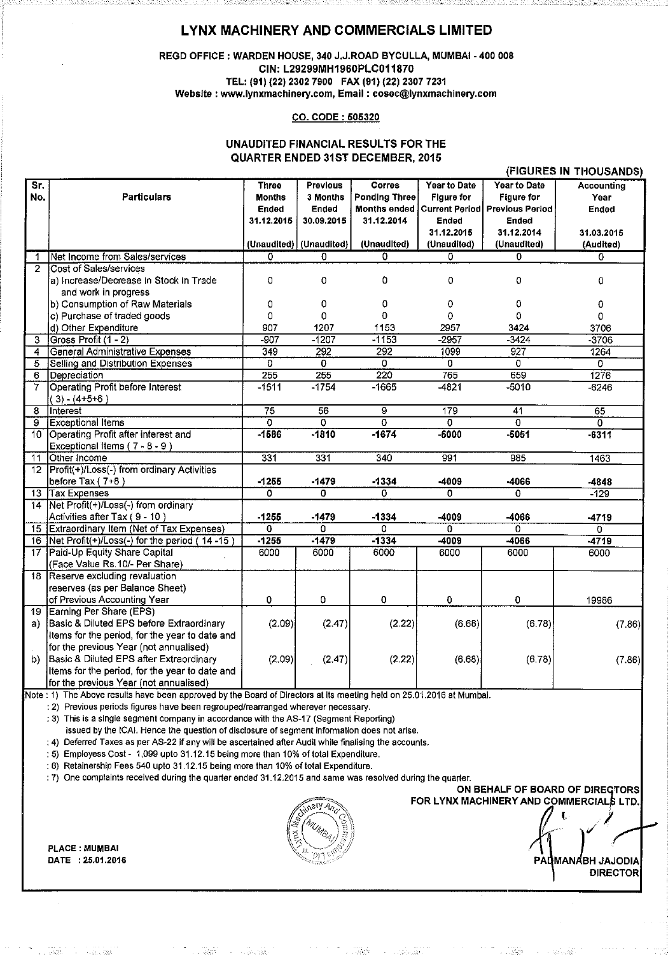# LYNX MACHINERY AND COMMERCIALS LIMITED

#### REGD OFFICE : WARDEN HOUSE, 340 J.J.ROAD BYCULLA, MUMBAI - 400 008 CIN: L29299MH1960PLC011870 TEL: (91) (22) 2302 7900 FAX (91) (22) 2307 7231 Website : www.lynxmachlnery.com, Email : cosec@lynxmachinery.com

#### CO. CODE : 505320

### UNAUDITED FINANCIAL RESULTS FOR THE QUARTER ENDED 31ST DECEMBER, 2015

|                 |                                                   |                         |                         |                           |                         |                         | (FIGURES IN THOUSANDS)    |
|-----------------|---------------------------------------------------|-------------------------|-------------------------|---------------------------|-------------------------|-------------------------|---------------------------|
| Sr.             |                                                   | <b>Three</b>            | Previous                | Corres                    | <b>Year to Date</b>     | <b>Year to Date</b>     | <b>Accounting</b>         |
| No.             | <b>Particulars</b>                                | Months                  | 3 Months                | <b>Ponding Three</b>      | Figure for              | <b>Figure for</b>       | Year                      |
|                 |                                                   | Ended                   | Ended                   | <b>Months ended</b>       | <b>Current Period</b>   | <b>Previous Period</b>  | Ended                     |
|                 |                                                   | 31.12.2015              | 30.09.2015              | 31.12.2014                | Ended                   | Ended                   |                           |
|                 |                                                   |                         |                         |                           | 31.12.2015              | 31.12.2014              | 31.03.2015                |
|                 |                                                   | (Unaudited) (Unaudited) |                         | (Unaudited)               | (Unaudited)             | (Unaudited)             | (Audited)                 |
| 1               | Net Income from Sales/services                    | 0                       | 0                       | 0                         | 0                       | 0                       | 0                         |
| $\mathbf{2}$    | Cost of Sales/services                            |                         |                         |                           |                         |                         |                           |
|                 | a) Increase/Decrease in Stock in Trade            | 0                       | 0                       | 0                         | 0                       | 0                       | 0                         |
|                 | and work in progress                              |                         |                         |                           |                         |                         |                           |
|                 | b) Consumption of Raw Materials                   | 0                       | 0                       | 0                         | 0                       | 0                       | 0                         |
|                 | c) Purchase of traded goods                       | 0                       | 0                       | $\Omega$                  | $\Omega$                | 0                       | 0                         |
|                 | d) Other Expenditure                              | 907                     | 1207                    | 1153                      | 2957                    | 3424                    | 3706                      |
| 3               | Gross Profit (1 - 2)                              | $-907$                  | $-1207$                 | $-1153$                   | $-2957$                 | $-3424$                 | $-3706$                   |
| 4               | General Administrative Expenses                   | 349                     | 292                     | 292                       | 1099                    | 927                     | 1264                      |
| 5               | Selling and Distribution Expenses                 | 0                       | 0                       | $\overline{\mathfrak{o}}$ | 0                       | 0                       | $\overline{\mathfrak{o}}$ |
| 6               | Depreciation                                      | 255                     | 255                     | 220                       | 765                     | 659                     | 1276                      |
| 7               | <b>Operating Profit before Interest</b>           | $-1511$                 | $-1754$                 | $-1665$                   | $-4821$                 | $-5010$                 | $-6246$                   |
|                 | $(3) - (4+5+6)$                                   |                         |                         |                           |                         |                         |                           |
| 8               | Interest                                          | $\overline{75}$         | 56                      | $\overline{9}$            | 179                     | 41                      | 65                        |
| $\overline{9}$  | <b>Exceptional Items</b>                          | 0                       | $\overline{\mathbf{o}}$ | $\overline{0}$            | $\overline{\mathbf{o}}$ | $\overline{\mathbf{o}}$ | $\overline{0}$            |
| 10 <sup>7</sup> | Operating Profit after interest and               | $-1586$                 | $-1810$                 | $-1674$                   | $-5000$                 | $-5051$                 | $-6311$                   |
|                 | Exceptional Items (7 - 8 - 9)                     |                         |                         |                           |                         |                         |                           |
| 11              | Other Income                                      | 331                     | 331                     | 340                       | 991                     | 985                     | 1463                      |
| 12              | Profit(+)/Loss(-) from ordinary Activities        |                         |                         |                           |                         |                         |                           |
|                 | before Tax $(7+8)$                                | $-1255$                 | $-1479$                 | $-1334$                   | -4009                   | -4066                   | -4848                     |
|                 | 13 Tax Expenses                                   | 0                       | 0                       | $\Omega$                  | 0                       | 0                       | $-129$                    |
|                 | 14   Net Profit(+)/Loss(-) from ordinary          |                         |                         |                           |                         |                         |                           |
|                 | Activities after Tax (9 - 10)                     | $-1255$                 | $-1479$                 | $-1334$                   | -4009                   | -4066                   | -4719                     |
|                 | 15 Extraordinary Item (Net of Tax Expenses)       | 0                       | 0                       | $\Omega$                  | 0                       | 0                       | 0                         |
|                 | 16   Net Profit(+)/Loss(-) for the period (14-15) | $-1255$                 | $-1479$                 | $-1334$                   | $-4009$                 | -4066                   | $-4719$                   |
| 17              | Paid-Up Equity Share Capital                      | 6000                    | 6000                    | 6000                      | 6000                    | 6000                    | 6000                      |
|                 | (Face Value Rs.10/- Per Share)                    |                         |                         |                           |                         |                         |                           |
|                 | 18 Reserve excluding revaluation                  |                         |                         |                           |                         |                         |                           |
|                 | reserves (as per Balance Sheet)                   |                         |                         |                           |                         |                         |                           |
|                 | of Previous Accounting Year                       | 0                       | 0                       | 0                         | 0                       | 0                       | 19986                     |
|                 | 19 Earning Per Share (EPS)                        |                         |                         |                           |                         |                         |                           |
| a)              | Basic & Diluted EPS before Extraordinary          | (2.09)                  | (2.47)                  | (2.22)                    | (6.68)                  | (6.78)                  | (7.86)                    |
|                 | Items for the period, for the year to date and    |                         |                         |                           |                         |                         |                           |
|                 | for the previous Year (not annualised)            |                         |                         |                           |                         |                         |                           |
| b).             | Basic & Diluted EPS after Extraordinary           | (2.09)                  | (2.47)                  | (2.22)                    | (6.68)                  | (6.78)                  | (7.86)                    |
|                 | Items for the period, for the year to date and    |                         |                         |                           |                         |                         |                           |
|                 | for the previous Year (not annualised)            |                         |                         |                           |                         |                         |                           |

Note : 1) The Above results have been approved by the Board of Directors at its meeting held on 25.01.2016 at Mumbai.

: 2) Previous periods figures have been regroupedfrearranged wherever necessary.

; 3) This Is a single segment company in accordance with the AS~17 (Segment Reporting)

issued by the ICAI. Hence the question of disclosure of segment information does not arise.

: 4) Deferred Taxes as per AS-22 if any will be ascertained after Audit while finalising the accounts.

: 5) Employess Cost- 1,099 upto 31.12.15 being more than 10% of total Expenditure.

: 6) Retainership Fees 540 upto 31.12.15 being more than 10% of total Expenditure.

: 7) One complaints received during the quarter ended 31.12.2015 and same was resolved during the quarter.

PLACE : MUMBAI

ON BEHALF OF BOARD OF DIRECTORS FOR LYNX MACHINERY AND COMMERCIALS LTD.

DATE : 25.01.2016 .\_, ·- PA MAN BH JAJODIA DIRECTOR